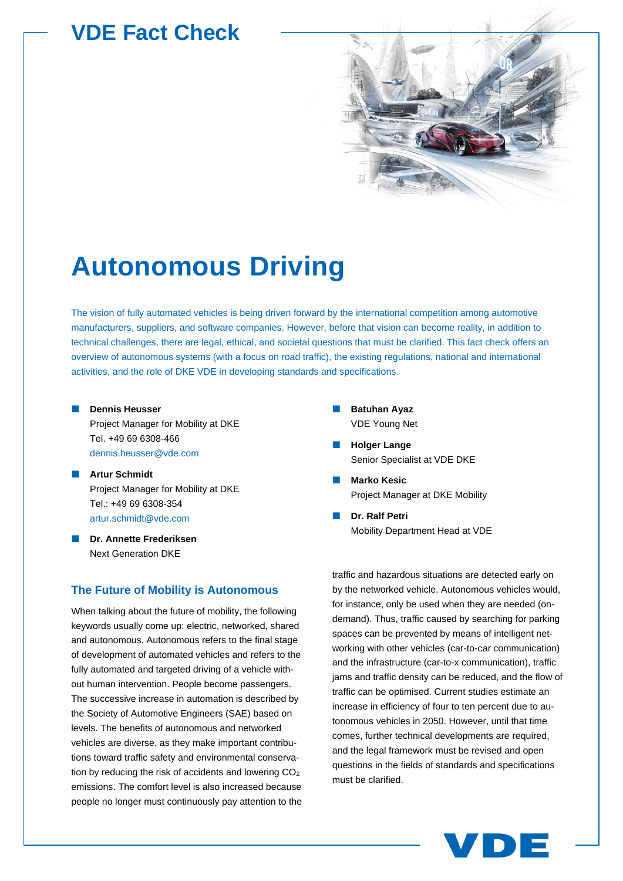# **VDE Fact Check**



# **Autonomous Driving**

The vision of fully automated vehicles is being driven forward by the international competition among automotive manufacturers, suppliers, and software companies. However, before that vision can become reality, in addition to technical challenges, there are legal, ethical, and societal questions that must be clarified. This fact check offers an overview of autonomous systems (with a focus on road traffic), the existing regulations, national and international activities, and the role of DKE VDE in developing standards and specifications.

- **Dennis Heusser** Project Manager for Mobility at DKE Tel. +49 69 6308-466 [dennis.heusser@vde.com](mailto:dennis.heusser@vde.com)
- **Artur Schmidt** Project Manager for Mobility at DKE Tel.: +49 69 6308-354 [artur.schmidt@vde.com](mailto:artur.schmidt@vde.com)
- **Dr. Annette Frederiksen** Next Generation DKE

# **The Future of Mobility is Autonomous**

When talking about the future of mobility, the following keywords usually come up: electric, networked, shared and autonomous. Autonomous refers to the final stage of development of automated vehicles and refers to the fully automated and targeted driving of a vehicle without human intervention. People become passengers. The successive increase in automation is described by the Society of Automotive Engineers (SAE) based on levels. The benefits of autonomous and networked vehicles are diverse, as they make important contributions toward traffic safety and environmental conservation by reducing the risk of accidents and lowering CO<sub>2</sub> emissions. The comfort level is also increased because people no longer must continuously pay attention to the

- **Batuhan Ayaz** VDE Young Net
- **Holger Lange** Senior Specialist at VDE DKE
- **Marko Kesic** Project Manager at DKE Mobility
- **Dr. Ralf Petri** Mobility Department Head at VDE

traffic and hazardous situations are detected early on by the networked vehicle. Autonomous vehicles would, for instance, only be used when they are needed (ondemand). Thus, traffic caused by searching for parking spaces can be prevented by means of intelligent networking with other vehicles (car-to-car communication) and the infrastructure (car-to-x communication), traffic jams and traffic density can be reduced, and the flow of traffic can be optimised. Current studies estimate an increase in efficiency of four to ten percent due to autonomous vehicles in 2050. However, until that time comes, further technical developments are required, and the legal framework must be revised and open questions in the fields of standards and specifications must be clarified.

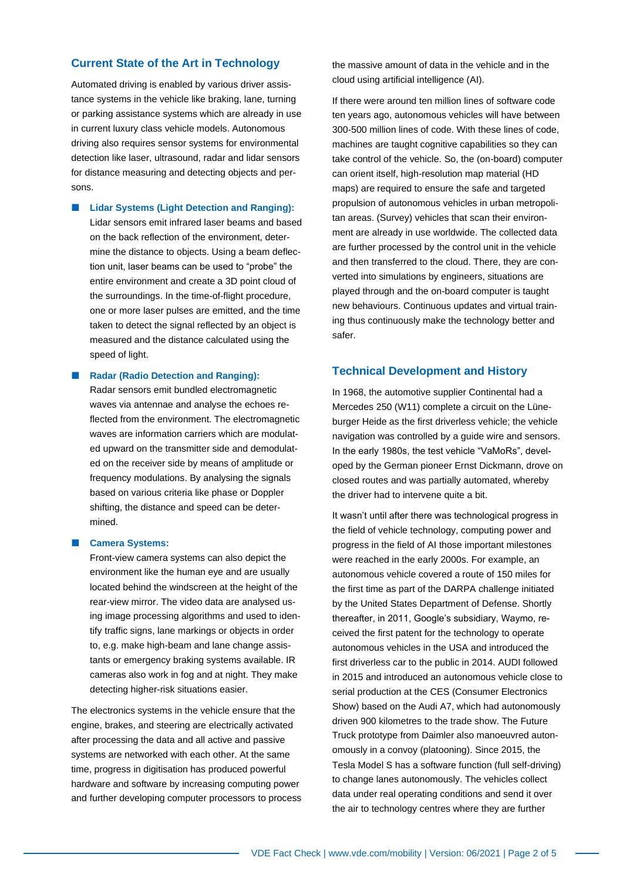# **Current State of the Art in Technology**

Automated driving is enabled by various driver assistance systems in the vehicle like braking, lane, turning or parking assistance systems which are already in use in current luxury class vehicle models. Autonomous driving also requires sensor systems for environmental detection like laser, ultrasound, radar and lidar sensors for distance measuring and detecting objects and persons.

**Lidar Systems (Light Detection and Ranging):** 

Lidar sensors emit infrared laser beams and based on the back reflection of the environment, determine the distance to objects. Using a beam deflection unit, laser beams can be used to "probe" the entire environment and create a 3D point cloud of the surroundings. In the time-of-flight procedure, one or more laser pulses are emitted, and the time taken to detect the signal reflected by an object is measured and the distance calculated using the speed of light.

#### **Radar (Radio Detection and Ranging):**

Radar sensors emit bundled electromagnetic waves via antennae and analyse the echoes reflected from the environment. The electromagnetic waves are information carriers which are modulated upward on the transmitter side and demodulated on the receiver side by means of amplitude or frequency modulations. By analysing the signals based on various criteria like phase or Doppler shifting, the distance and speed can be determined.

#### **Camera Systems:**

Front-view camera systems can also depict the environment like the human eye and are usually located behind the windscreen at the height of the rear-view mirror. The video data are analysed using image processing algorithms and used to identify traffic signs, lane markings or objects in order to, e.g. make high-beam and lane change assistants or emergency braking systems available. IR cameras also work in fog and at night. They make detecting higher-risk situations easier.

The electronics systems in the vehicle ensure that the engine, brakes, and steering are electrically activated after processing the data and all active and passive systems are networked with each other. At the same time, progress in digitisation has produced powerful hardware and software by increasing computing power and further developing computer processors to process the massive amount of data in the vehicle and in the cloud using artificial intelligence (AI).

If there were around ten million lines of software code ten years ago, autonomous vehicles will have between 300-500 million lines of code. With these lines of code, machines are taught cognitive capabilities so they can take control of the vehicle. So, the (on-board) computer can orient itself, high-resolution map material (HD maps) are required to ensure the safe and targeted propulsion of autonomous vehicles in urban metropolitan areas. (Survey) vehicles that scan their environment are already in use worldwide. The collected data are further processed by the control unit in the vehicle and then transferred to the cloud. There, they are converted into simulations by engineers, situations are played through and the on-board computer is taught new behaviours. Continuous updates and virtual training thus continuously make the technology better and safer.

# **Technical Development and History**

In 1968, the automotive supplier Continental had a Mercedes 250 (W11) complete a circuit on the Lüneburger Heide as the first driverless vehicle; the vehicle navigation was controlled by a guide wire and sensors. In the early 1980s, the test vehicle "VaMoRs", developed by the German pioneer Ernst Dickmann, drove on closed routes and was partially automated, whereby the driver had to intervene quite a bit.

It wasn't until after there was technological progress in the field of vehicle technology, computing power and progress in the field of AI those important milestones were reached in the early 2000s. For example, an autonomous vehicle covered a route of 150 miles for the first time as part of the DARPA challenge initiated by the United States Department of Defense. Shortly thereafter, in 2011, Google's subsidiary, Waymo, received the first patent for the technology to operate autonomous vehicles in the USA and introduced the first driverless car to the public in 2014. AUDI followed in 2015 and introduced an autonomous vehicle close to serial production at the CES (Consumer Electronics Show) based on the Audi A7, which had autonomously driven 900 kilometres to the trade show. The Future Truck prototype from Daimler also manoeuvred autonomously in a convoy (platooning). Since 2015, the Tesla Model S has a software function (full self-driving) to change lanes autonomously. The vehicles collect data under real operating conditions and send it over the air to technology centres where they are further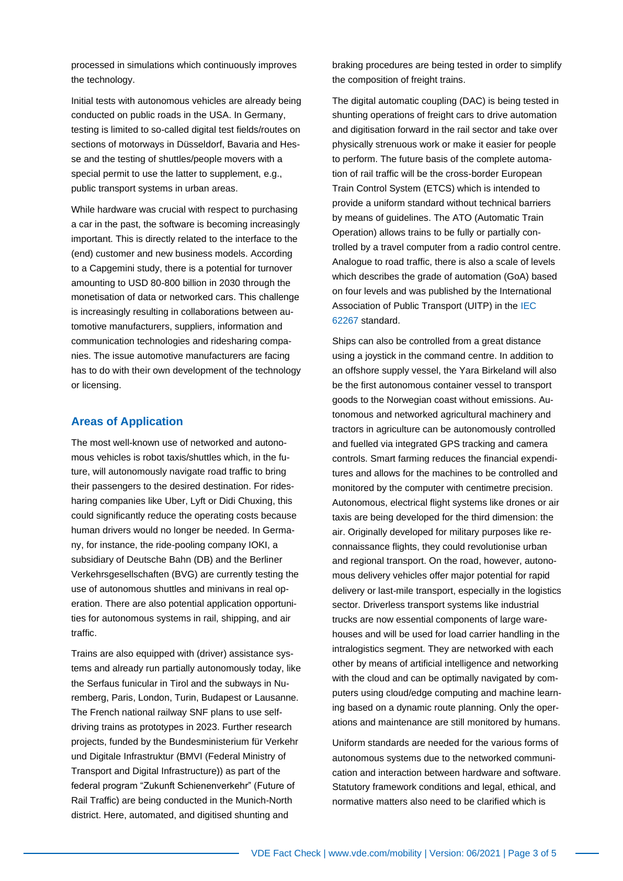processed in simulations which continuously improves the technology.

Initial tests with autonomous vehicles are already being conducted on public roads in the USA. In Germany, testing is limited to so-called digital test fields/routes on sections of motorways in Düsseldorf, Bavaria and Hesse and the testing of shuttles/people movers with a special permit to use the latter to supplement, e.g., public transport systems in urban areas.

While hardware was crucial with respect to purchasing a car in the past, the software is becoming increasingly important. This is directly related to the interface to the (end) customer and new business models. According to a Capgemini study, there is a potential for turnover amounting to USD 80-800 billion in 2030 through the monetisation of data or networked cars. This challenge is increasingly resulting in collaborations between automotive manufacturers, suppliers, information and communication technologies and ridesharing companies. The issue automotive manufacturers are facing has to do with their own development of the technology or licensing.

#### **Areas of Application**

The most well-known use of networked and autonomous vehicles is robot taxis/shuttles which, in the future, will autonomously navigate road traffic to bring their passengers to the desired destination. For ridesharing companies like Uber, Lyft or Didi Chuxing, this could significantly reduce the operating costs because human drivers would no longer be needed. In Germany, for instance, the ride-pooling company IOKI, a subsidiary of Deutsche Bahn (DB) and the Berliner Verkehrsgesellschaften (BVG) are currently testing the use of autonomous shuttles and minivans in real operation. There are also potential application opportunities for autonomous systems in rail, shipping, and air traffic.

Trains are also equipped with (driver) assistance systems and already run partially autonomously today, like the Serfaus funicular in Tirol and the subways in Nuremberg, Paris, London, Turin, Budapest or Lausanne. The French national railway SNF plans to use selfdriving trains as prototypes in 2023. Further research projects, funded by the Bundesministerium für Verkehr und Digitale Infrastruktur (BMVI (Federal Ministry of Transport and Digital Infrastructure)) as part of the federal program "Zukunft Schienenverkehr" (Future of Rail Traffic) are being conducted in the Munich-North district. Here, automated, and digitised shunting and

braking procedures are being tested in order to simplify the composition of freight trains.

The digital automatic coupling (DAC) is being tested in shunting operations of freight cars to drive automation and digitisation forward in the rail sector and take over physically strenuous work or make it easier for people to perform. The future basis of the complete automation of rail traffic will be the cross-border European Train Control System (ETCS) which is intended to provide a uniform standard without technical barriers by means of guidelines. The ATO (Automatic Train Operation) allows trains to be fully or partially controlled by a travel computer from a radio control centre. Analogue to road traffic, there is also a scale of levels which describes the grade of automation (GoA) based on four levels and was published by the International Association of Public Transport (UITP) in th[e IEC](https://www.vde-verlag.de/iec-normen/216608/iec-62267-2009.html)  [62267](https://www.vde-verlag.de/iec-normen/216608/iec-62267-2009.html) standard.

Ships can also be controlled from a great distance using a joystick in the command centre. In addition to an offshore supply vessel, the Yara Birkeland will also be the first autonomous container vessel to transport goods to the Norwegian coast without emissions. Autonomous and networked agricultural machinery and tractors in agriculture can be autonomously controlled and fuelled via integrated GPS tracking and camera controls. Smart farming reduces the financial expenditures and allows for the machines to be controlled and monitored by the computer with centimetre precision. Autonomous, electrical flight systems like drones or air taxis are being developed for the third dimension: the air. Originally developed for military purposes like reconnaissance flights, they could revolutionise urban and regional transport. On the road, however, autonomous delivery vehicles offer major potential for rapid delivery or last-mile transport, especially in the logistics sector. Driverless transport systems like industrial trucks are now essential components of large warehouses and will be used for load carrier handling in the intralogistics segment. They are networked with each other by means of artificial intelligence and networking with the cloud and can be optimally navigated by computers using cloud/edge computing and machine learning based on a dynamic route planning. Only the operations and maintenance are still monitored by humans.

Uniform standards are needed for the various forms of autonomous systems due to the networked communication and interaction between hardware and software. Statutory framework conditions and legal, ethical, and normative matters also need to be clarified which is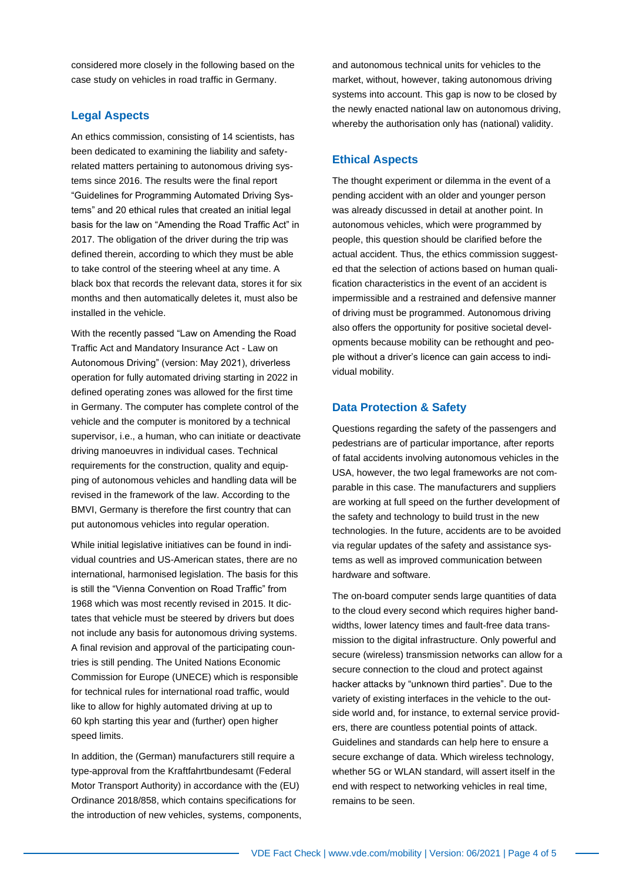considered more closely in the following based on the case study on vehicles in road traffic in Germany.

# **Legal Aspects**

An ethics commission, consisting of 14 scientists, has been dedicated to examining the liability and safetyrelated matters pertaining to autonomous driving systems since 2016. The results were the final report "Guidelines for Programming Automated Driving Systems" and 20 ethical rules that created an initial legal basis for the law on "Amending the Road Traffic Act" in 2017. The obligation of the driver during the trip was defined therein, according to which they must be able to take control of the steering wheel at any time. A black box that records the relevant data, stores it for six months and then automatically deletes it, must also be installed in the vehicle.

With the recently passed "Law on Amending the Road Traffic Act and Mandatory Insurance Act - Law on Autonomous Driving" (version: May 2021), driverless operation for fully automated driving starting in 2022 in defined operating zones was allowed for the first time in Germany. The computer has complete control of the vehicle and the computer is monitored by a technical supervisor, i.e., a human, who can initiate or deactivate driving manoeuvres in individual cases. Technical requirements for the construction, quality and equipping of autonomous vehicles and handling data will be revised in the framework of the law. According to the BMVI, Germany is therefore the first country that can put autonomous vehicles into regular operation.

While initial legislative initiatives can be found in individual countries and US-American states, there are no international, harmonised legislation. The basis for this is still the "Vienna Convention on Road Traffic" from 1968 which was most recently revised in 2015. It dictates that vehicle must be steered by drivers but does not include any basis for autonomous driving systems. A final revision and approval of the participating countries is still pending. The United Nations Economic Commission for Europe (UNECE) which is responsible for technical rules for international road traffic, would like to allow for highly automated driving at up to 60 kph starting this year and (further) open higher speed limits.

In addition, the (German) manufacturers still require a type-approval from the Kraftfahrtbundesamt (Federal Motor Transport Authority) in accordance with the (EU) Ordinance 2018/858, which contains specifications for the introduction of new vehicles, systems, components, and autonomous technical units for vehicles to the market, without, however, taking autonomous driving systems into account. This gap is now to be closed by the newly enacted national law on autonomous driving, whereby the authorisation only has (national) validity.

### **Ethical Aspects**

The thought experiment or dilemma in the event of a pending accident with an older and younger person was already discussed in detail at another point. In autonomous vehicles, which were programmed by people, this question should be clarified before the actual accident. Thus, the ethics commission suggested that the selection of actions based on human qualification characteristics in the event of an accident is impermissible and a restrained and defensive manner of driving must be programmed. Autonomous driving also offers the opportunity for positive societal developments because mobility can be rethought and people without a driver's licence can gain access to individual mobility.

## **Data Protection & Safety**

Questions regarding the safety of the passengers and pedestrians are of particular importance, after reports of fatal accidents involving autonomous vehicles in the USA, however, the two legal frameworks are not comparable in this case. The manufacturers and suppliers are working at full speed on the further development of the safety and technology to build trust in the new technologies. In the future, accidents are to be avoided via regular updates of the safety and assistance systems as well as improved communication between hardware and software.

The on-board computer sends large quantities of data to the cloud every second which requires higher bandwidths, lower latency times and fault-free data transmission to the digital infrastructure. Only powerful and secure (wireless) transmission networks can allow for a secure connection to the cloud and protect against hacker attacks by "unknown third parties". Due to the variety of existing interfaces in the vehicle to the outside world and, for instance, to external service providers, there are countless potential points of attack. Guidelines and standards can help here to ensure a secure exchange of data. Which wireless technology, whether 5G or WLAN standard, will assert itself in the end with respect to networking vehicles in real time, remains to be seen.